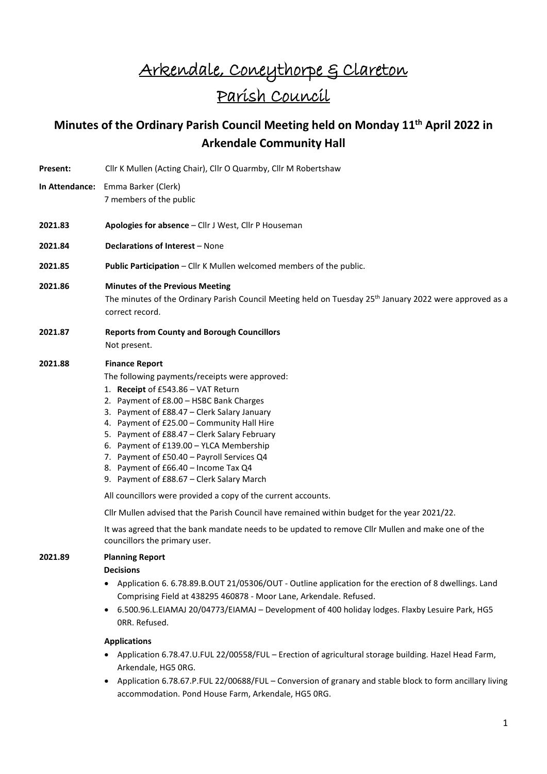# Arkendale, Coneythorpe & Clareton Parish Council

## **Minutes of the Ordinary Parish Council Meeting held on Monday 11th April 2022 in Arkendale Community Hall**

- Present: Cllr K Mullen (Acting Chair), Cllr O Quarmby, Cllr M Robertshaw
- **In Attendance:** Emma Barker (Clerk) 7 members of the public
- **2021.83 Apologies for absence** Cllr J West, Cllr P Houseman
- **2021.84 Declarations of Interest** None
- **2021.85 Public Participation** Cllr K Mullen welcomed members of the public.

#### **2021.86 Minutes of the Previous Meeting**

The minutes of the Ordinary Parish Council Meeting held on Tuesday 25th January 2022 were approved as a correct record.

**2021.87 Reports from County and Borough Councillors** Not present.

#### **2021.88 Finance Report**

The following payments/receipts were approved:

- 1. **Receipt** of £543.86 VAT Return
- 2. Payment of £8.00 HSBC Bank Charges
- 3. Payment of £88.47 Clerk Salary January
- 4. Payment of £25.00 Community Hall Hire
- 5. Payment of £88.47 Clerk Salary February
- 6. Payment of £139.00 YLCA Membership
- 7. Payment of £50.40 Payroll Services Q4
- 8. Payment of £66.40 Income Tax Q4
- 9. Payment of £88.67 Clerk Salary March

All councillors were provided a copy of the current accounts.

Cllr Mullen advised that the Parish Council have remained within budget for the year 2021/22.

It was agreed that the bank mandate needs to be updated to remove Cllr Mullen and make one of the councillors the primary user.

#### **2021.89 Planning Report**

#### **Decisions**

- Application 6. 6.78.89.B.OUT 21/05306/OUT Outline application for the erection of 8 dwellings. Land Comprising Field at 438295 460878 - Moor Lane, Arkendale. Refused.
- 6.500.96.L.EIAMAJ 20/04773/EIAMAJ Development of 400 holiday lodges. Flaxby Lesuire Park, HG5 0RR. Refused.

#### **Applications**

- Application 6.78.47.U.FUL 22/00558/FUL Erection of agricultural storage building. Hazel Head Farm, Arkendale, HG5 0RG.
- Application 6.78.67.P.FUL 22/00688/FUL Conversion of granary and stable block to form ancillary living accommodation. Pond House Farm, Arkendale, HG5 0RG.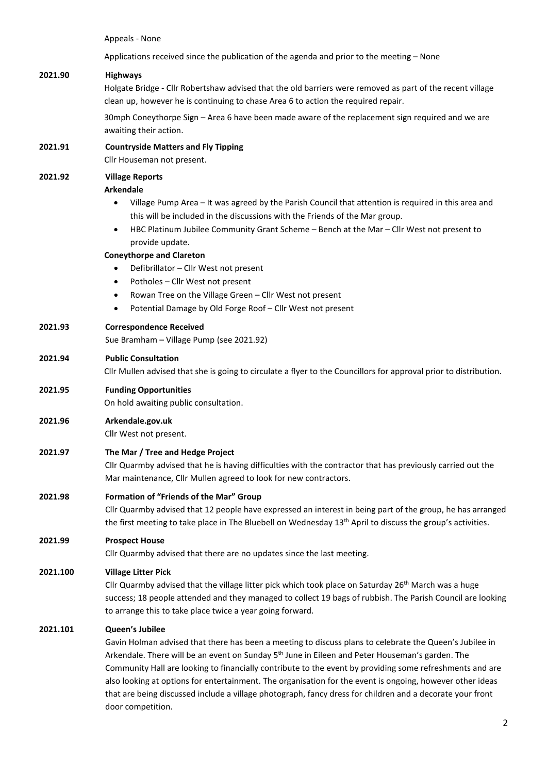Appeals - None

Applications received since the publication of the agenda and prior to the meeting – None

#### **2021.90 Highways**

Holgate Bridge - Cllr Robertshaw advised that the old barriers were removed as part of the recent village clean up, however he is continuing to chase Area 6 to action the required repair.

30mph Coneythorpe Sign – Area 6 have been made aware of the replacement sign required and we are awaiting their action.

### **2021.91 Countryside Matters and Fly Tipping**

Cllr Houseman not present.

## **2021.92 Village Reports**

#### **Arkendale**

- Village Pump Area It was agreed by the Parish Council that attention is required in this area and this will be included in the discussions with the Friends of the Mar group.
- HBC Platinum Jubilee Community Grant Scheme Bench at the Mar Cllr West not present to provide update.

#### **Coneythorpe and Clareton**

- Defibrillator Cllr West not present
- Potholes Cllr West not present
- Rowan Tree on the Village Green Cllr West not present
- Potential Damage by Old Forge Roof Cllr West not present

#### **2021.93 Correspondence Received**

Sue Bramham – Village Pump (see 2021.92)

#### **2021.94 Public Consultation**

Cllr Mullen advised that she is going to circulate a flyer to the Councillors for approval prior to distribution.

#### **2021.95 Funding Opportunities**

On hold awaiting public consultation.

#### **2021.96 Arkendale.gov.uk**

Cllr West not present.

#### **2021.97 The Mar / Tree and Hedge Project**

Cllr Quarmby advised that he is having difficulties with the contractor that has previously carried out the Mar maintenance, Cllr Mullen agreed to look for new contractors.

#### **2021.98 Formation of "Friends of the Mar" Group**

Cllr Quarmby advised that 12 people have expressed an interest in being part of the group, he has arranged the first meeting to take place in The Bluebell on Wednesday  $13<sup>th</sup>$  April to discuss the group's activities.

#### **2021.99 Prospect House**

Cllr Quarmby advised that there are no updates since the last meeting.

#### **2021.100 Village Litter Pick**

Cllr Quarmby advised that the village litter pick which took place on Saturday 26<sup>th</sup> March was a huge success; 18 people attended and they managed to collect 19 bags of rubbish. The Parish Council are looking to arrange this to take place twice a year going forward.

#### **2021.101 Queen's Jubilee**

Gavin Holman advised that there has been a meeting to discuss plans to celebrate the Queen's Jubilee in Arkendale. There will be an event on Sunday  $5<sup>th</sup>$  June in Eileen and Peter Houseman's garden. The Community Hall are looking to financially contribute to the event by providing some refreshments and are also looking at options for entertainment. The organisation for the event is ongoing, however other ideas that are being discussed include a village photograph, fancy dress for children and a decorate your front door competition.